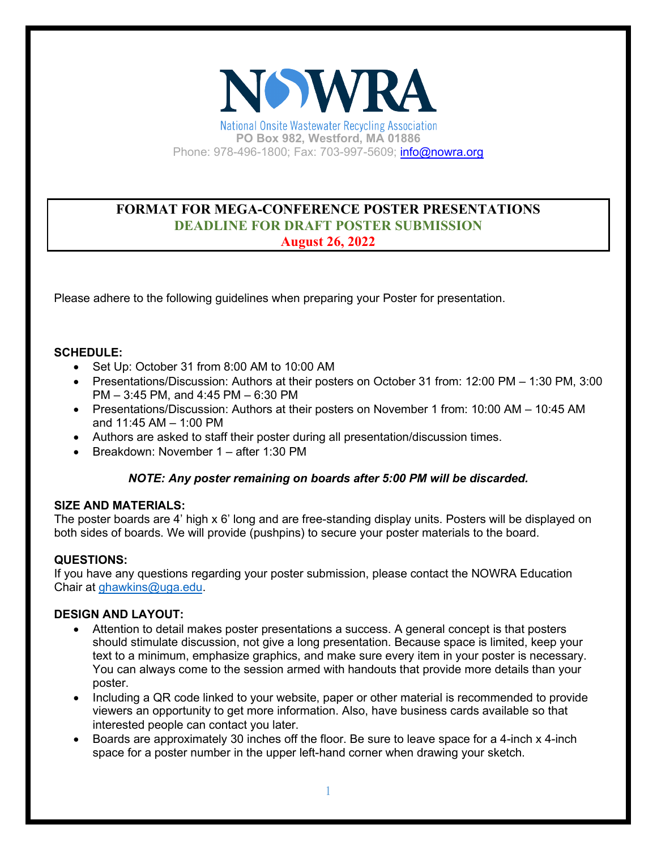

National Onsite Wastewater Recycling Association **PO Box 982, Westford, MA 01886**  Phone: 978-496-1800; Fax: 703-997-5609; [info@nowra.org](mailto:info@nowra.org)

# **FORMAT FOR MEGA-CONFERENCE POSTER PRESENTATIONS DEADLINE FOR DRAFT POSTER SUBMISSION August 26, 2022**

Please adhere to the following guidelines when preparing your Poster for presentation.

### **SCHEDULE:**

- Set Up: October 31 from 8:00 AM to 10:00 AM
- Presentations/Discussion: Authors at their posters on October 31 from: 12:00 PM 1:30 PM, 3:00 PM – 3:45 PM, and 4:45 PM – 6:30 PM
- Presentations/Discussion: Authors at their posters on November 1 from: 10:00 AM 10:45 AM and 11:45 AM – 1:00 PM
- Authors are asked to staff their poster during all presentation/discussion times.
- Breakdown: November 1 after 1:30 PM

# *NOTE: Any poster remaining on boards after 5:00 PM will be discarded.*

#### **SIZE AND MATERIALS:**

The poster boards are 4' high x 6' long and are free-standing display units. Posters will be displayed on both sides of boards. We will provide (pushpins) to secure your poster materials to the board.

# **QUESTIONS:**

If you have any questions regarding your poster submission, please contact the NOWRA Education Chair at [ghawkins@uga.edu.](mailto:ghawkins@uga.edu)

#### **DESIGN AND LAYOUT:**

- Attention to detail makes poster presentations a success. A general concept is that posters should stimulate discussion, not give a long presentation. Because space is limited, keep your text to a minimum, emphasize graphics, and make sure every item in your poster is necessary. You can always come to the session armed with handouts that provide more details than your poster.
- Including a QR code linked to your website, paper or other material is recommended to provide viewers an opportunity to get more information. Also, have business cards available so that interested people can contact you later.
- Boards are approximately 30 inches off the floor. Be sure to leave space for a 4-inch x 4-inch space for a poster number in the upper left-hand corner when drawing your sketch.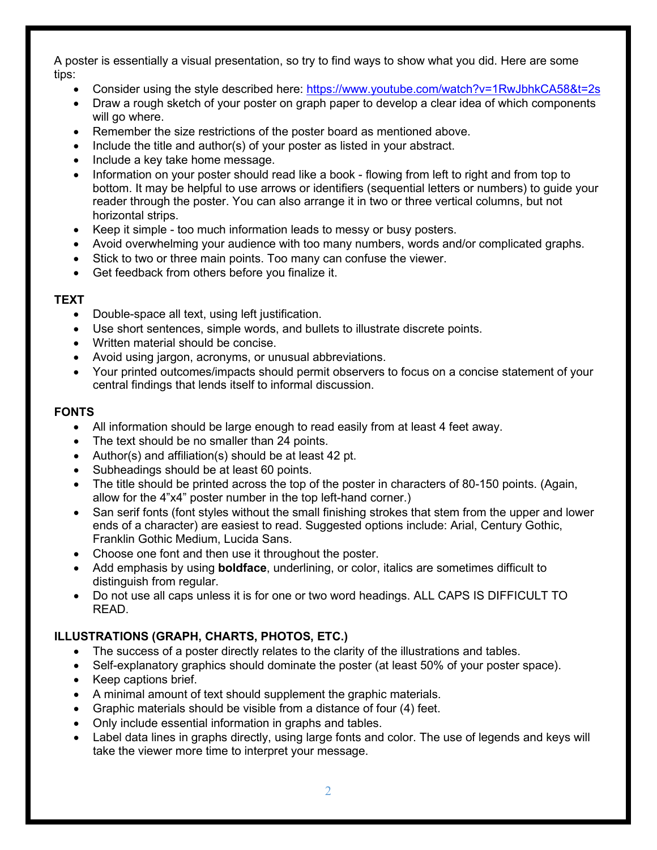A poster is essentially a visual presentation, so try to find ways to show what you did. Here are some tips:

- Consider using the style described here: <https://www.youtube.com/watch?v=1RwJbhkCA58&t=2s>
- Draw a rough sketch of your poster on graph paper to develop a clear idea of which components will go where.
- Remember the size restrictions of the poster board as mentioned above.
- Include the title and author(s) of your poster as listed in your abstract.
- Include a key take home message.
- Information on your poster should read like a book flowing from left to right and from top to bottom. It may be helpful to use arrows or identifiers (sequential letters or numbers) to guide your reader through the poster. You can also arrange it in two or three vertical columns, but not horizontal strips.
- Keep it simple too much information leads to messy or busy posters.
- Avoid overwhelming your audience with too many numbers, words and/or complicated graphs.
- Stick to two or three main points. Too many can confuse the viewer.
- Get feedback from others before you finalize it.

### **TEXT**

- Double-space all text, using left justification.
- Use short sentences, simple words, and bullets to illustrate discrete points.
- Written material should be concise.
- Avoid using jargon, acronyms, or unusual abbreviations.
- Your printed outcomes/impacts should permit observers to focus on a concise statement of your central findings that lends itself to informal discussion.

#### **FONTS**

- All information should be large enough to read easily from at least 4 feet away.
- The text should be no smaller than 24 points.
- Author(s) and affiliation(s) should be at least 42 pt.
- Subheadings should be at least 60 points.
- The title should be printed across the top of the poster in characters of 80-150 points. (Again, allow for the 4"x4" poster number in the top left-hand corner.)
- San serif fonts (font styles without the small finishing strokes that stem from the upper and lower ends of a character) are easiest to read. Suggested options include: Arial, Century Gothic, Franklin Gothic Medium, Lucida Sans.
- Choose one font and then use it throughout the poster.
- Add emphasis by using **boldface**, underlining, or color, italics are sometimes difficult to distinguish from regular.
- Do not use all caps unless it is for one or two word headings. ALL CAPS IS DIFFICULT TO READ.

# **ILLUSTRATIONS (GRAPH, CHARTS, PHOTOS, ETC.)**

- The success of a poster directly relates to the clarity of the illustrations and tables.
- Self-explanatory graphics should dominate the poster (at least 50% of your poster space).
- Keep captions brief.
- A minimal amount of text should supplement the graphic materials.
- Graphic materials should be visible from a distance of four (4) feet.
- Only include essential information in graphs and tables.
- Label data lines in graphs directly, using large fonts and color. The use of legends and keys will take the viewer more time to interpret your message.